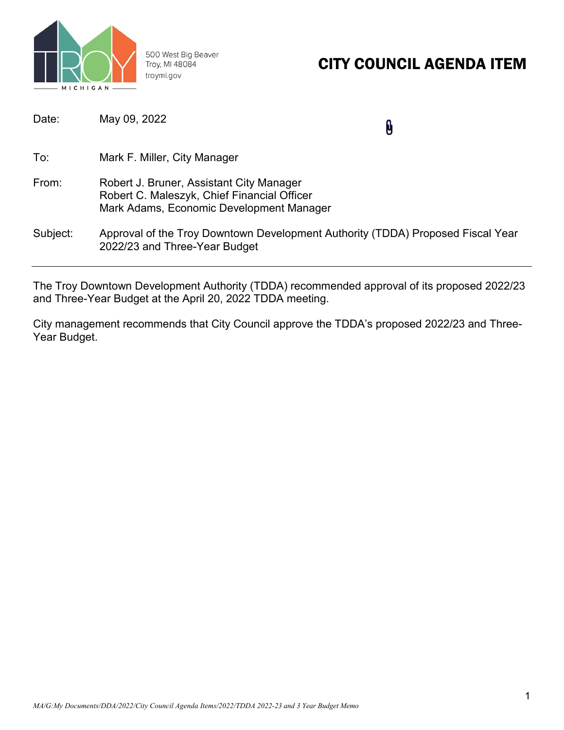

500 West Big Beaver Troy, MI 48084 troymi.gov

## CITY COUNCIL AGENDA ITEM

| Date:    | May 09, 2022                                                                                                                        | Û |
|----------|-------------------------------------------------------------------------------------------------------------------------------------|---|
| To:      | Mark F. Miller, City Manager                                                                                                        |   |
| From:    | Robert J. Bruner, Assistant City Manager<br>Robert C. Maleszyk, Chief Financial Officer<br>Mark Adams, Economic Development Manager |   |
| Subject: | Approval of the Troy Downtown Development Authority (TDDA) Proposed Fiscal Year<br>2022/23 and Three-Year Budget                    |   |

The Troy Downtown Development Authority (TDDA) recommended approval of its proposed 2022/23 and Three-Year Budget at the April 20, 2022 TDDA meeting.

City management recommends that City Council approve the TDDA's proposed 2022/23 and Three-Year Budget.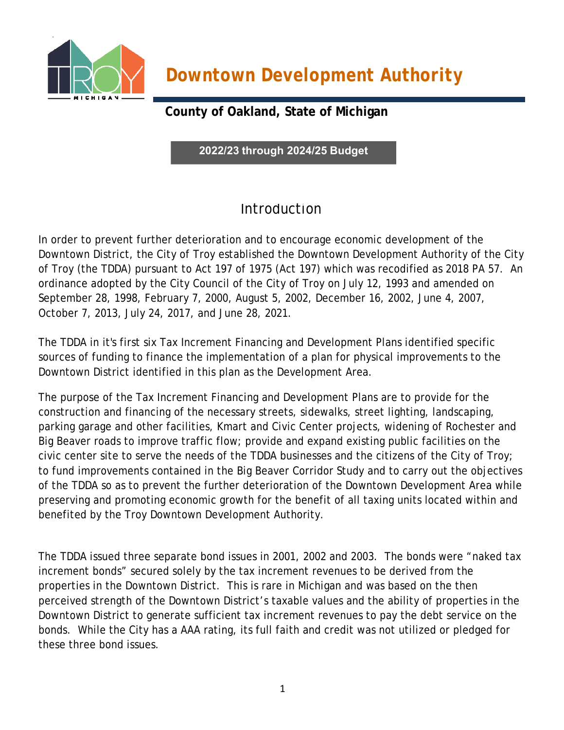

**County of Oakland, State of Michigan**

**2022/23 through 2024/25 Budget**

## **Introduction**

In order to prevent further deterioration and to encourage economic development of the Downtown District, the City of Troy established the Downtown Development Authority of the City of Troy (the TDDA) pursuant to Act 197 of 1975 (Act 197) which was recodified as 2018 PA 57. An ordinance adopted by the City Council of the City of Troy on July 12, 1993 and amended on September 28, 1998, February 7, 2000, August 5, 2002, December 16, 2002, June 4, 2007, October 7, 2013, July 24, 2017, and June 28, 2021.

The TDDA in it's first six Tax Increment Financing and Development Plans identified specific sources of funding to finance the implementation of a plan for physical improvements to the Downtown District identified in this plan as the Development Area.

The purpose of the Tax Increment Financing and Development Plans are to provide for the construction and financing of the necessary streets, sidewalks, street lighting, landscaping, parking garage and other facilities, Kmart and Civic Center projects, widening of Rochester and Big Beaver roads to improve traffic flow; provide and expand existing public facilities on the civic center site to serve the needs of the TDDA businesses and the citizens of the City of Troy; to fund improvements contained in the Big Beaver Corridor Study and to carry out the objectives of the TDDA so as to prevent the further deterioration of the Downtown Development Area while preserving and promoting economic growth for the benefit of all taxing units located within and benefited by the Troy Downtown Development Authority.

The TDDA issued three separate bond issues in 2001, 2002 and 2003. The bonds were "naked tax increment bonds" secured solely by the tax increment revenues to be derived from the properties in the Downtown District. This is rare in Michigan and was based on the then perceived strength of the Downtown District's taxable values and the ability of properties in the Downtown District to generate sufficient tax increment revenues to pay the debt service on the bonds. While the City has a AAA rating, its full faith and credit was not utilized or pledged for these three bond issues.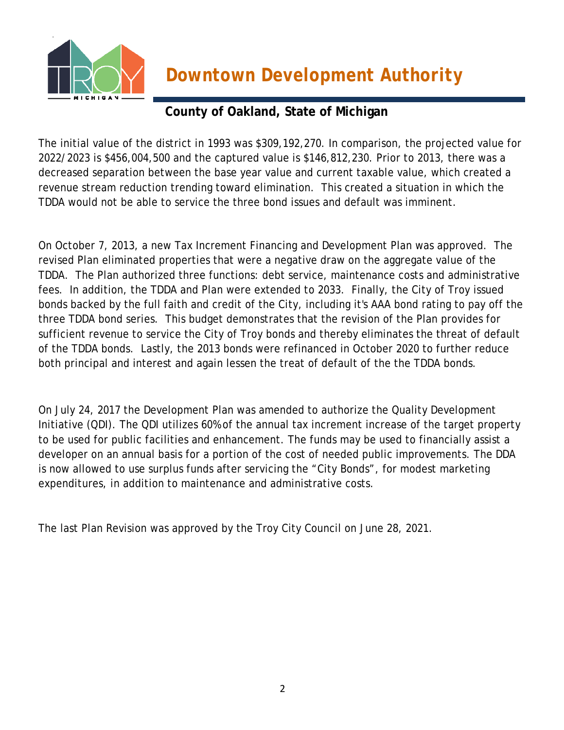

### **County of Oakland, State of Michigan**

The initial value of the district in 1993 was \$309,192,270. In comparison, the projected value for 2022/2023 is \$456,004,500 and the captured value is \$146,812,230. Prior to 2013, there was a decreased separation between the base year value and current taxable value, which created a revenue stream reduction trending toward elimination. This created a situation in which the TDDA would not be able to service the three bond issues and default was imminent.

On October 7, 2013, a new Tax Increment Financing and Development Plan was approved. The revised Plan eliminated properties that were a negative draw on the aggregate value of the TDDA. The Plan authorized three functions: debt service, maintenance costs and administrative fees. In addition, the TDDA and Plan were extended to 2033. Finally, the City of Troy issued bonds backed by the full faith and credit of the City, including it's AAA bond rating to pay off the three TDDA bond series. This budget demonstrates that the revision of the Plan provides for sufficient revenue to service the City of Troy bonds and thereby eliminates the threat of default of the TDDA bonds. Lastly, the 2013 bonds were refinanced in October 2020 to further reduce both principal and interest and again lessen the treat of default of the the TDDA bonds.

On July 24, 2017 the Development Plan was amended to authorize the Quality Development Initiative (QDI). The QDI utilizes 60% of the annual tax increment increase of the target property to be used for public facilities and enhancement. The funds may be used to financially assist a developer on an annual basis for a portion of the cost of needed public improvements. The DDA is now allowed to use surplus funds after servicing the "City Bonds", for modest marketing expenditures, in addition to maintenance and administrative costs.

The last Plan Revision was approved by the Troy City Council on June 28, 2021.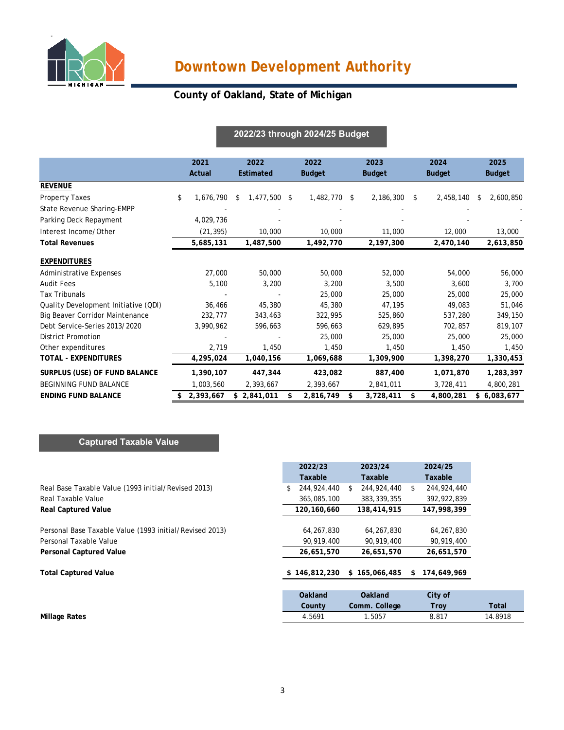

### **County of Oakland, State of Michigan**

#### **2021 2022 2022 2023 2024 2025 Actual Estimated Budget Budget Budget Budget REVENUE** Property Taxes \$ 1,676,790 \$ 1,477,500 \$ 1,482,770 \$ 2,186,300 \$ 2,458,140 \$ 2,600,850 State Revenue Sharing-EMPP Parking Deck Repayment 4,029,736 - - - - - Interest Income/Other (21,395) 10,000 10,000 11,000 12,000 13,000 **Total Revenues 5,685,131 1,487,500 1,492,770 2,197,300 2,470,140 2,613,850 EXPENDITURES** Administrative Expenses 27,000 50,000 50,000 52,000 54,000 56,000 Audit Fees 5,100 3,200 3,200 3,500 3,600 3,700 Tax Tribunals - - 25,000 25,000 25,000 25,000 Quality Development Initiative (QDI) 36,466 45,380 45,380 47,195 49,083 51,046 Big Beaver Corridor Maintenance 232,777 343,463 322,995 525,860 537,280 349,150 Debt Service-Series 2013/2020 3,990,962 596,663 596,663 629,895 702,857 819,107 District Promotion - - 25,000 25,000 25,000 25,000 Other expenditures 2,719 1,450 1,450 1,450 1,450 1,450 1,450 1,450 **TOTAL - EXPENDITURES 4,295,024 1,040,156 1,069,688 1,309,900 1,398,270 1,330,453 SURPLUS (USE) OF FUND BALANCE 1,390,107 447,344 423,082 887,400 1,071,870 1,283,397**  BEGINNING FUND BALANCE 1,003,560 2,393,667 2,393,667 2,841,011 3,728,411 4,800,281 **ENDING FUND BALANCE 2,393,667 \$ 2,841,011 \$ 2,816,749 \$ 3,728,411 \$ 4,800,281 \$ 6,083,677 \$ 2022/23 through 2024/25 Budget**

#### **Captured Taxable Value**

|                                                         | 2022/23           | 2023/24           | 2024/25           |         |
|---------------------------------------------------------|-------------------|-------------------|-------------------|---------|
|                                                         | Taxable           | Taxable           | Taxable           |         |
| Real Base Taxable Value (1993 initial/Revised 2013)     | 244,924,440<br>\$ | 244,924,440<br>S. | 244,924,440<br>\$ |         |
| Real Taxable Value                                      | 365,085,100       | 383, 339, 355     | 392,922,839       |         |
| <b>Real Captured Value</b>                              | 120,160,660       | 138,414,915       | 147,998,399       |         |
| Personal Base Taxable Value (1993 initial/Revised 2013) | 64,267,830        | 64,267,830        | 64,267,830        |         |
| Personal Taxable Value                                  | 90,919,400        | 90,919,400        | 90,919,400        |         |
| <b>Personal Captured Value</b>                          | 26,651,570        | 26,651,570        | 26,651,570        |         |
| <b>Total Captured Value</b>                             | \$146,812,230     | \$165,066,485     | 174,649,969<br>S. |         |
|                                                         | Oakland           | <b>Oakland</b>    | City of           |         |
|                                                         | County            | Comm. College     | <b>Troy</b>       |         |
| <b>Millage Rates</b>                                    | 4.5691            | 1.5057            | 8.817             | 14.8918 |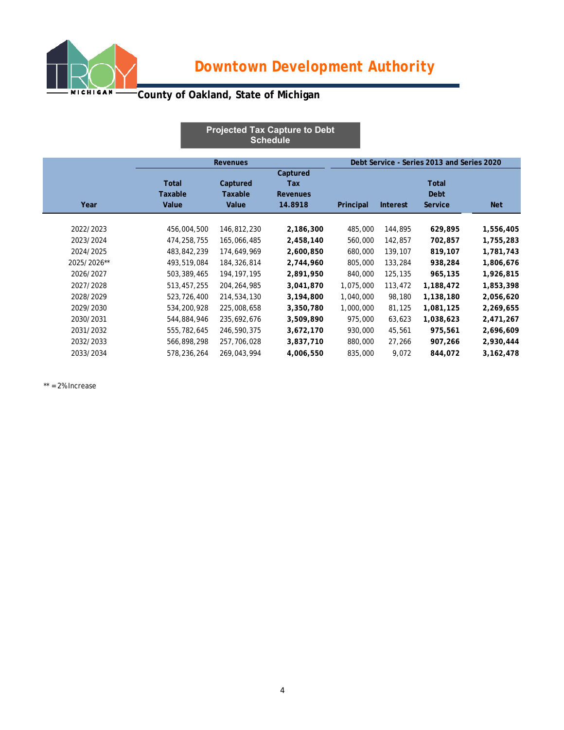

## **County of Oakland, State of Michigan**

|             |                                  |                              | <b>Projected Tax Capture to Debt</b><br><b>Schedule</b> |           |                                            |                                 |             |  |
|-------------|----------------------------------|------------------------------|---------------------------------------------------------|-----------|--------------------------------------------|---------------------------------|-------------|--|
|             |                                  | <b>Revenues</b>              |                                                         |           | Debt Service - Series 2013 and Series 2020 |                                 |             |  |
| Year        | <b>Total</b><br>Taxable<br>Value | Captured<br>Taxable<br>Value | Captured<br>Tax<br><b>Revenues</b><br>14.8918           | Principal | <b>Interest</b>                            | Total<br>Debt<br><b>Service</b> | <b>Net</b>  |  |
| 2022/2023   | 456,004,500                      | 146,812,230                  | 2,186,300                                               | 485,000   | 144,895                                    | 629,895                         | 1,556,405   |  |
| 2023/2024   | 474,258,755                      | 165,066,485                  | 2,458,140                                               | 560,000   | 142,857                                    | 702,857                         | 1,755,283   |  |
| 2024/2025   | 483,842,239                      | 174,649,969                  | 2,600,850                                               | 680,000   | 139,107                                    | 819,107                         | 1,781,743   |  |
| 2025/2026** | 493,519,084                      | 184,326,814                  | 2,744,960                                               | 805,000   | 133,284                                    | 938,284                         | 1,806,676   |  |
| 2026/2027   | 503,389,465                      | 194, 197, 195                | 2,891,950                                               | 840,000   | 125,135                                    | 965,135                         | 1,926,815   |  |
| 2027/2028   | 513,457,255                      | 204, 264, 985                | 3,041,870                                               | 1,075,000 | 113,472                                    | 1,188,472                       | 1,853,398   |  |
| 2028/2029   | 523,726,400                      | 214,534,130                  | 3,194,800                                               | 1,040,000 | 98,180                                     | 1,138,180                       | 2,056,620   |  |
| 2029/2030   | 534,200,928                      | 225,008,658                  | 3,350,780                                               | 1,000,000 | 81,125                                     | 1,081,125                       | 2,269,655   |  |
| 2030/2031   | 544,884,946                      | 235,692,676                  | 3,509,890                                               | 975,000   | 63,623                                     | 1,038,623                       | 2,471,267   |  |
| 2031/2032   | 555,782,645                      | 246,590,375                  | 3,672,170                                               | 930,000   | 45,561                                     | 975,561                         | 2,696,609   |  |
| 2032/2033   | 566,898,298                      | 257,706,028                  | 3,837,710                                               | 880,000   | 27,266                                     | 907,266                         | 2,930,444   |  |
| 2033/2034   | 578,236,264                      | 269,043,994                  | 4,006,550                                               | 835,000   | 9,072                                      | 844,072                         | 3, 162, 478 |  |

 $**$  = 2% Increase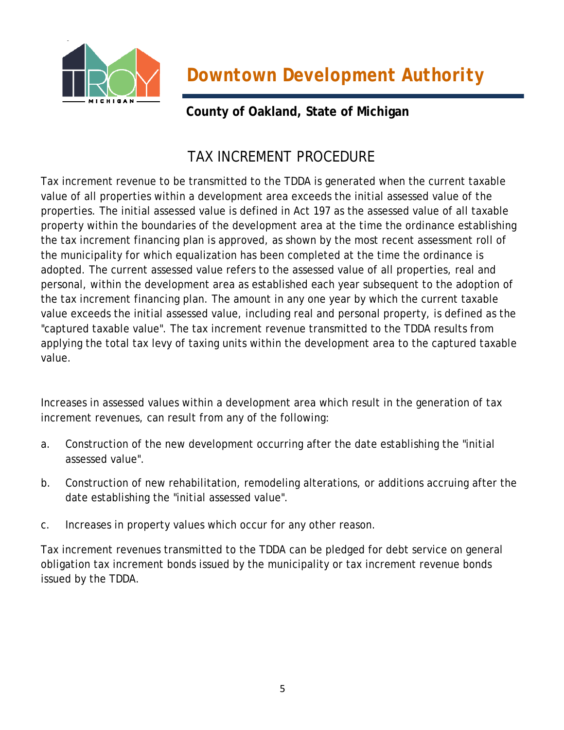

### **County of Oakland, State of Michigan**

## TAX INCREMENT PROCEDURE

Tax increment revenue to be transmitted to the TDDA is generated when the current taxable value of all properties within a development area exceeds the initial assessed value of the properties. The initial assessed value is defined in Act 197 as the assessed value of all taxable property within the boundaries of the development area at the time the ordinance establishing the tax increment financing plan is approved, as shown by the most recent assessment roll of the municipality for which equalization has been completed at the time the ordinance is adopted. The current assessed value refers to the assessed value of all properties, real and personal, within the development area as established each year subsequent to the adoption of the tax increment financing plan. The amount in any one year by which the current taxable value exceeds the initial assessed value, including real and personal property, is defined as the "captured taxable value". The tax increment revenue transmitted to the TDDA results from applying the total tax levy of taxing units within the development area to the captured taxable value.

Increases in assessed values within a development area which result in the generation of tax increment revenues, can result from any of the following:

- a. Construction of the new development occurring after the date establishing the "initial assessed value".
- b. Construction of new rehabilitation, remodeling alterations, or additions accruing after the date establishing the "initial assessed value".
- c. Increases in property values which occur for any other reason.

Tax increment revenues transmitted to the TDDA can be pledged for debt service on general obligation tax increment bonds issued by the municipality or tax increment revenue bonds issued by the TDDA.